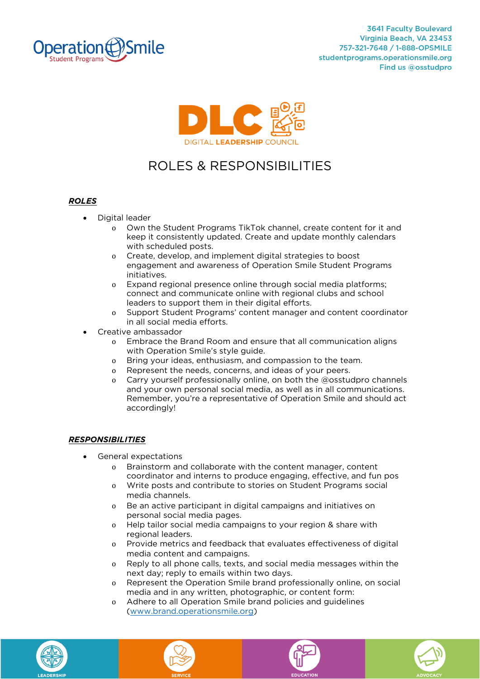



## ROLES & RESPONSIBILITIES **ROLES & RESPONSIBILITIES**

## *ROLES*

- **Digital leader**
	- <sup>o</sup> **Own the Student Programs TikTok channel, create content for it and**  with scheduled posts.
	- o Create, develop, and implement digital strategies to boost<br>engagement and awareness of Operation Smile Student Pr **engagement and awareness of Operation Smile Student Programs**
	- **incox Expand regional presence online through social media platforms;**<br>**connect and communicate online with regional clubs and school connect and communicate online with regional clubs and school**
	- o Support Student Programs' content manager and content coordinator<br>in all social media efforts
- Creative ambassador<br> **•** Creative ambassador<br> **•** Embrace the Brand Room
	- <sup>o</sup> **Embrace the Brand Room and ensure that all communication aligns**
	- **b Department Bridge.** Bridge is staten and compassion to the team.<br> **O Bentasent the needs** concerns and ideas of your peers
	- <sup>o</sup> **Represent the needs, concerns, and ideas of your peers.**
	- <sup>o</sup> **Carry yourself professionally online, on both the @osstudpro channels Remember, you're a representative of Operation Smile and should act all as well as a representations. Remember, you're a representative of Operation Smile and should act accordingly!**

## *RESPONSIBILITIES*

- **General expectations**
	- <sup>o</sup> **Brainstorm and collaborate with the content manager, content**
	- **coordinator and internet to produce engaging, effective, and rangely**<br>
	media channels
	- o **Be an active participant in digital campaigns and initiatives on personal social media pages**
	- o **Help tailor social media campaigns to your region & share with** regional leaders
	- o Provide metrics and feedback that evaluates effectiveness of digital<br>media content and campaigns
	- o **Reply to all phone calls, texts, and social media messages within the**<br>next day: reply to emails within two days
	- **next day;** reply to emails within the days.<br> **o Represent the Operation Smile brand professionally online, on social media and in any written photographic or content form:**
	- **media and in any of content form:**<br>Content form: content form: content form: content form: content form: content form: content form: content form: content form: content form: content form: content form: content form: cont **(www.brand.operationsmile.org)**